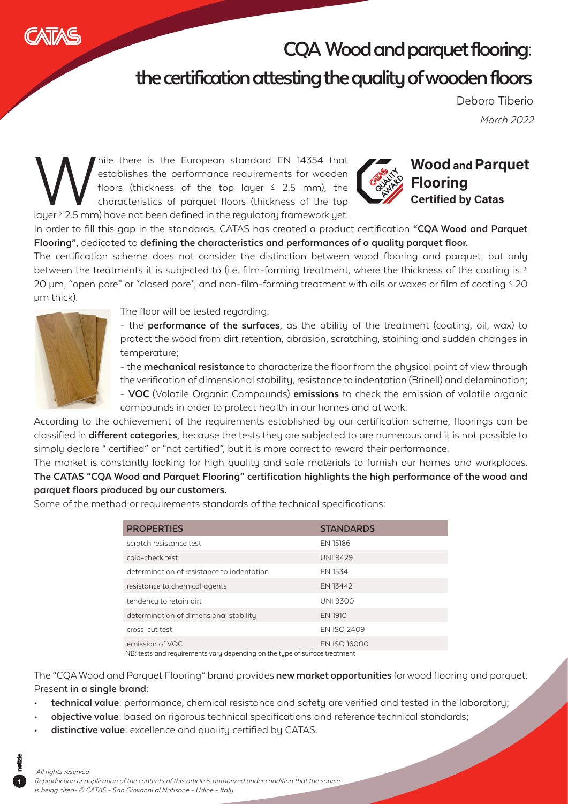

## **CQA Wood and parquet flooring:**

## **the certification attesting the quality of wooden floors**

March 2022 Debora Tiberio

M<br>
M hile there is the European standard EN 14354 that<br>
establishes the performance requirements for wooden<br>
floors (thickness of the top layer ≤ 2.5 mm), the<br>
characteristics of parquet floors (thickness of the top<br>
laye establishes the performance requirements for wooden floors (thickness of the top layer  $\leq$  2.5 mm), the characteristics of parquet floors (thickness of the top



## **Wood and Parquet Flooring Certified by Catas**

In order to fill this gap in the standards, CATAS has created a product certification **"CQA Wood and Parquet Flooring"**, dedicated to **defining the characteristics and performances of a quality parquet floor.**

The certification scheme does not consider the distinction between wood flooring and parquet, but only between the treatments it is subjected to (i.e. film-forming treatment, where the thickness of the coating is ≥ 20 µm, "open pore" or "closed pore", and non-film-forming treatment with oils or waxes or film of coating ≤ 20 µm thick).



The floor will be tested regarding:

- the **performance of the surfaces**, as the ability of the treatment (coating, oil, wax) to protect the wood from dirt retention, abrasion, scratching, staining and sudden changes in temperature;

- the **mechanical resistance** to characterize the floor from the physical point of view through the verification of dimensional stability, resistance to indentation (Brinell) and delamination;

- **VOC** (Volatile Organic Compounds) **emissions** to check the emission of volatile organic compounds in order to protect health in our homes and at work.

According to the achievement of the requirements established by our certification scheme, floorings can be classified in **different categories**, because the tests they are subjected to are numerous and it is not possible to simply declare " certified" or "not certified", but it is more correct to reward their performance.

The market is constantly looking for high quality and safe materials to furnish our homes and workplaces. **The CATAS "CQA Wood and Parquet Flooring" certification highlights the high performance of the wood and parquet floors produced by our customers.**

Some of the method or requirements standards of the technical specifications:

| <b>PROPERTIES</b>                                                                                         | <b>STANDARDS</b>    |
|-----------------------------------------------------------------------------------------------------------|---------------------|
| scratch resistance test                                                                                   | EN 15186            |
| cold-check test                                                                                           | <b>UNI 9429</b>     |
| determination of resistance to indentation                                                                | EN 1534             |
| resistance to chemical agents                                                                             | EN 13442            |
| tendency to retain dirt                                                                                   | <b>UNI 9300</b>     |
| determination of dimensional stability                                                                    | <b>EN 1910</b>      |
| cross-cut test                                                                                            | <b>EN ISO 2409</b>  |
| emission of VOC                                                                                           | <b>EN ISO 16000</b> |
| KIDI kaaka ala di saan disaasaaka masmala ala ala dhaanaa ka kuna ana ka muraa ala san maraa ka maraa ala |                     |

NB: tests and requirements vary depending on the type of surface treatment

The "CQA Wood and Parquet Flooring" brand provides **new market opportunities** for wood flooring and parquet. Present **in a single brand**:

- **• technical value:** performance, chemical resistance and safety are verified and tested in the laboratory;
- **• objective value:** based on rigorous technical specifications and reference technical standards;
- **• distinctive value:** excellence and quality certified by CATAS.

## All rights reserved

**1**

Reproduction or duplication of the contents of this article is authorized under condition that the source is being cited- © CATAS - San Giovanni al Natisone - Udine - Italy